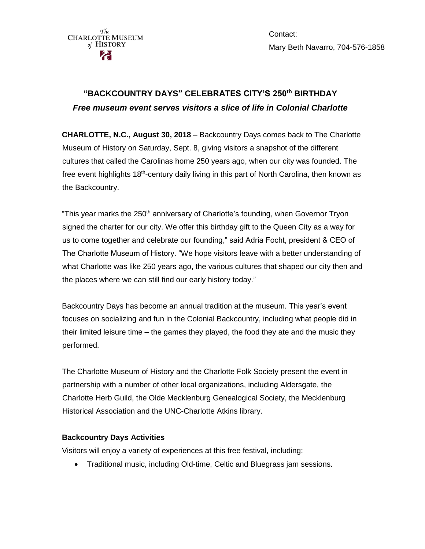

Contact: Mary Beth Navarro, 704-576-1858

## **"BACKCOUNTRY DAYS" CELEBRATES CITY'S 250th BIRTHDAY** *Free museum event serves visitors a slice of life in Colonial Charlotte*

**CHARLOTTE, N.C., August 30, 2018** – Backcountry Days comes back to The Charlotte Museum of History on Saturday, Sept. 8, giving visitors a snapshot of the different cultures that called the Carolinas home 250 years ago, when our city was founded. The free event highlights 18<sup>th</sup>-century daily living in this part of North Carolina, then known as the Backcountry.

"This year marks the 250<sup>th</sup> anniversary of Charlotte's founding, when Governor Tryon signed the charter for our city. We offer this birthday gift to the Queen City as a way for us to come together and celebrate our founding," said Adria Focht, president & CEO of The Charlotte Museum of History. "We hope visitors leave with a better understanding of what Charlotte was like 250 years ago, the various cultures that shaped our city then and the places where we can still find our early history today."

Backcountry Days has become an annual tradition at the museum. This year's event focuses on socializing and fun in the Colonial Backcountry, including what people did in their limited leisure time – the games they played, the food they ate and the music they performed.

The Charlotte Museum of History and the Charlotte Folk Society present the event in partnership with a number of other local organizations, including Aldersgate, the Charlotte Herb Guild, the Olde Mecklenburg Genealogical Society, the Mecklenburg Historical Association and the UNC-Charlotte Atkins library.

## **Backcountry Days Activities**

Visitors will enjoy a variety of experiences at this free festival, including:

Traditional music, including Old-time, Celtic and Bluegrass jam sessions.